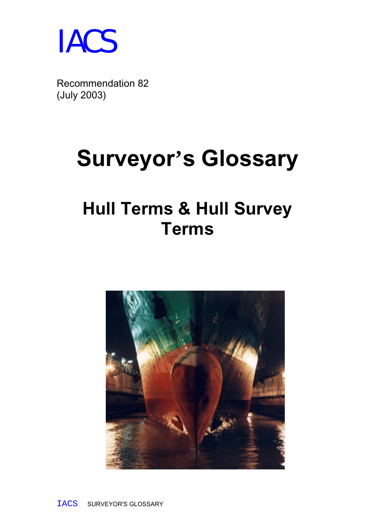

Recommendation 82 (July 2003)

# **Surveyor's Glossary**

## **Hull Terms & Hull Survey Terms**

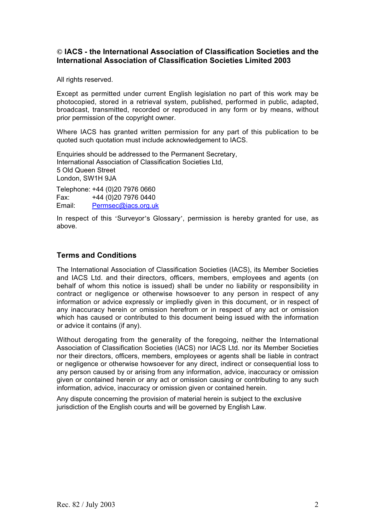#### **© IACS - the International Association of Classification Societies and the International Association of Classification Societies Limited 2003**

All rights reserved.

Except as permitted under current English legislation no part of this work may be photocopied, stored in a retrieval system, published, performed in public, adapted, broadcast, transmitted, recorded or reproduced in any form or by means, without prior permission of the copyright owner.

Where IACS has granted written permission for any part of this publication to be quoted such quotation must include acknowledgement to IACS.

Enquiries should be addressed to the Permanent Secretary, International Association of Classification Societies Ltd, 5 Old Queen Street London, SW1H 9JA

Telephone: +44 (0)20 7976 0660 Fax: +44 (0)20 7976 0440 Email: Permsec@iacs.org.uk

In respect of this 'Surveyor's Glossary', permission is hereby granted for use, as above.

#### **Terms and Conditions**

The International Association of Classification Societies (IACS), its Member Societies and IACS Ltd. and their directors, officers, members, employees and agents (on behalf of whom this notice is issued) shall be under no liability or responsibility in contract or negligence or otherwise howsoever to any person in respect of any information or advice expressly or impliedly given in this document, or in respect of any inaccuracy herein or omission herefrom or in respect of any act or omission which has caused or contributed to this document being issued with the information or advice it contains (if any).

Without derogating from the generality of the foregoing, neither the International Association of Classification Societies (IACS) nor IACS Ltd. nor its Member Societies nor their directors, officers, members, employees or agents shall be liable in contract or negligence or otherwise howsoever for any direct, indirect or consequential loss to any person caused by or arising from any information, advice, inaccuracy or omission given or contained herein or any act or omission causing or contributing to any such information, advice, inaccuracy or omission given or contained herein.

Any dispute concerning the provision of material herein is subject to the exclusive jurisdiction of the English courts and will be governed by English Law.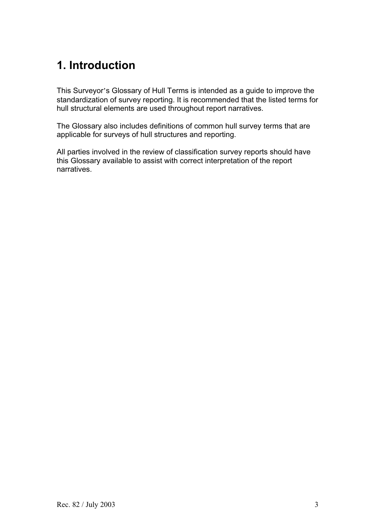## **1. Introduction**

This Surveyor's Glossary of Hull Terms is intended as a guide to improve the standardization of survey reporting. It is recommended that the listed terms for hull structural elements are used throughout report narratives.

The Glossary also includes definitions of common hull survey terms that are applicable for surveys of hull structures and reporting.

All parties involved in the review of classification survey reports should have this Glossary available to assist with correct interpretation of the report narratives.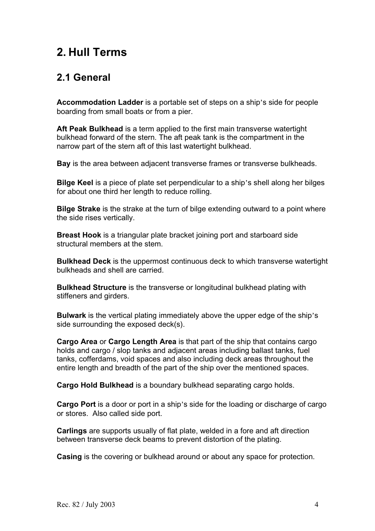### **2. Hull Terms**

#### **2.1 General**

**Accommodation Ladder** is a portable set of steps on a ship's side for people boarding from small boats or from a pier.

**Aft Peak Bulkhead** is a term applied to the first main transverse watertight bulkhead forward of the stern. The aft peak tank is the compartment in the narrow part of the stern aft of this last watertight bulkhead.

**Bay** is the area between adjacent transverse frames or transverse bulkheads.

**Bilge Keel** is a piece of plate set perpendicular to a ship's shell along her bilges for about one third her length to reduce rolling.

**Bilge Strake** is the strake at the turn of bilge extending outward to a point where the side rises vertically.

**Breast Hook** is a triangular plate bracket joining port and starboard side structural members at the stem.

**Bulkhead Deck** is the uppermost continuous deck to which transverse watertight bulkheads and shell are carried.

**Bulkhead Structure** is the transverse or longitudinal bulkhead plating with stiffeners and girders.

**Bulwark** is the vertical plating immediately above the upper edge of the ship's side surrounding the exposed deck(s).

**Cargo Area** or **Cargo Length Area** is that part of the ship that contains cargo holds and cargo / slop tanks and adjacent areas including ballast tanks, fuel tanks, cofferdams, void spaces and also including deck areas throughout the entire length and breadth of the part of the ship over the mentioned spaces.

**Cargo Hold Bulkhead** is a boundary bulkhead separating cargo holds.

**Cargo Port** is a door or port in a ship's side for the loading or discharge of cargo or stores. Also called side port.

**Carlings** are supports usually of flat plate, welded in a fore and aft direction between transverse deck beams to prevent distortion of the plating.

**Casing** is the covering or bulkhead around or about any space for protection.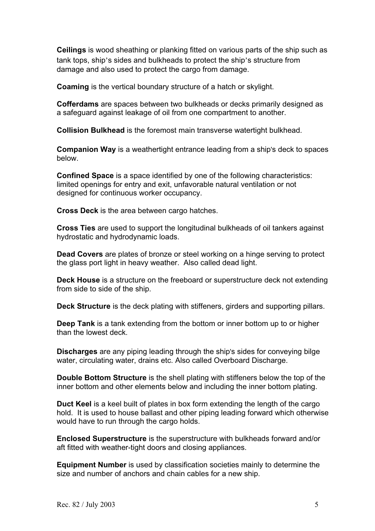**Ceilings** is wood sheathing or planking fitted on various parts of the ship such as tank tops, ship's sides and bulkheads to protect the ship's structure from damage and also used to protect the cargo from damage.

**Coaming** is the vertical boundary structure of a hatch or skylight.

**Cofferdams** are spaces between two bulkheads or decks primarily designed as a safeguard against leakage of oil from one compartment to another.

**Collision Bulkhead** is the foremost main transverse watertight bulkhead.

**Companion Way** is a weathertight entrance leading from a ship's deck to spaces below.

**Confined Space** is a space identified by one of the following characteristics: limited openings for entry and exit, unfavorable natural ventilation or not designed for continuous worker occupancy.

**Cross Deck** is the area between cargo hatches.

**Cross Ties** are used to support the longitudinal bulkheads of oil tankers against hydrostatic and hydrodynamic loads.

**Dead Covers** are plates of bronze or steel working on a hinge serving to protect the glass port light in heavy weather. Also called dead light.

**Deck House** is a structure on the freeboard or superstructure deck not extending from side to side of the ship.

**Deck Structure** is the deck plating with stiffeners, girders and supporting pillars.

**Deep Tank** is a tank extending from the bottom or inner bottom up to or higher than the lowest deck.

**Discharges** are any piping leading through the ship's sides for conveying bilge water, circulating water, drains etc. Also called Overboard Discharge.

**Double Bottom Structure** is the shell plating with stiffeners below the top of the inner bottom and other elements below and including the inner bottom plating.

**Duct Keel** is a keel built of plates in box form extending the length of the cargo hold. It is used to house ballast and other piping leading forward which otherwise would have to run through the cargo holds.

**Enclosed Superstructure** is the superstructure with bulkheads forward and/or aft fitted with weather-tight doors and closing appliances.

**Equipment Number** is used by classification societies mainly to determine the size and number of anchors and chain cables for a new ship.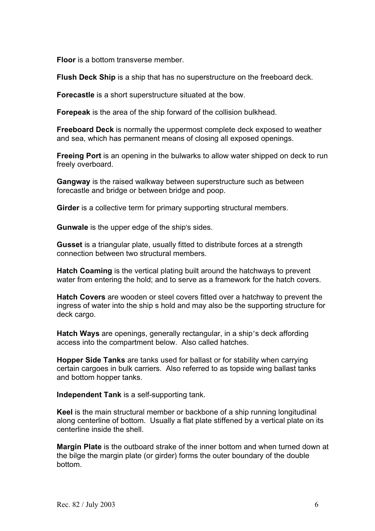**Floor** is a bottom transverse member.

**Flush Deck Ship** is a ship that has no superstructure on the freeboard deck.

**Forecastle** is a short superstructure situated at the bow.

**Forepeak** is the area of the ship forward of the collision bulkhead.

**Freeboard Deck** is normally the uppermost complete deck exposed to weather and sea, which has permanent means of closing all exposed openings.

**Freeing Port** is an opening in the bulwarks to allow water shipped on deck to run freely overboard.

**Gangway** is the raised walkway between superstructure such as between forecastle and bridge or between bridge and poop.

**Girder** is a collective term for primary supporting structural members.

**Gunwale** is the upper edge of the ship's sides.

**Gusset** is a triangular plate, usually fitted to distribute forces at a strength connection between two structural members.

**Hatch Coaming** is the vertical plating built around the hatchways to prevent water from entering the hold; and to serve as a framework for the hatch covers.

**Hatch Covers** are wooden or steel covers fitted over a hatchway to prevent the ingress of water into the ship s hold and may also be the supporting structure for deck cargo.

**Hatch Ways** are openings, generally rectangular, in a ship's deck affording access into the compartment below. Also called hatches.

**Hopper Side Tanks** are tanks used for ballast or for stability when carrying certain cargoes in bulk carriers. Also referred to as topside wing ballast tanks and bottom hopper tanks.

**Independent Tank** is a self-supporting tank.

**Keel** is the main structural member or backbone of a ship running longitudinal along centerline of bottom. Usually a flat plate stiffened by a vertical plate on its centerline inside the shell.

**Margin Plate** is the outboard strake of the inner bottom and when turned down at the bilge the margin plate (or girder) forms the outer boundary of the double bottom.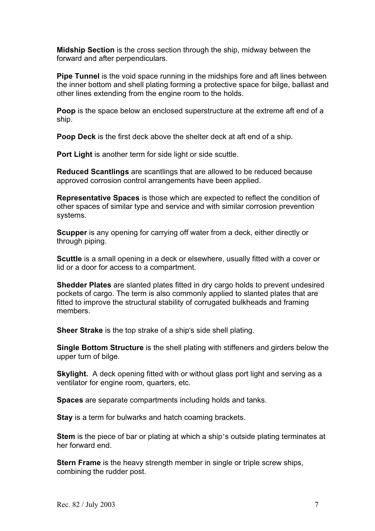**Midship Section** is the cross section through the ship, midway between the forward and after perpendiculars.

**Pipe Tunnel** is the void space running in the midships fore and aft lines between the inner bottom and shell plating forming a protective space for bilge, ballast and other lines extending from the engine room to the holds.

**Poop** is the space below an enclosed superstructure at the extreme aft end of a ship.

**Poop Deck** is the first deck above the shelter deck at aft end of a ship.

**Port Light** is another term for side light or side scuttle.

**Reduced Scantlings** are scantlings that are allowed to be reduced because approved corrosion control arrangements have been applied.

**Representative Spaces** is those which are expected to reflect the condition of other spaces of similar type and service and with similar corrosion prevention systems.

**Scupper** is any opening for carrying off water from a deck, either directly or through piping.

**Scuttle** is a small opening in a deck or elsewhere, usually fitted with a cover or lid or a door for access to a compartment.

**Shedder Plates** are slanted plates fitted in dry cargo holds to prevent undesired pockets of cargo. The term is also commonly applied to slanted plates that are fitted to improve the structural stability of corrugated bulkheads and framing members.

**Sheer Strake** is the top strake of a ship's side shell plating.

**Single Bottom Structure** is the shell plating with stiffeners and girders below the upper turn of bilge.

**Skylight.** A deck opening fitted with or without glass port light and serving as a ventilator for engine room, quarters, etc.

**Spaces** are separate compartments including holds and tanks.

**Stay** is a term for bulwarks and hatch coaming brackets.

**Stem** is the piece of bar or plating at which a ship's outside plating terminates at her forward end.

**Stern Frame** is the heavy strength member in single or triple screw ships, combining the rudder post.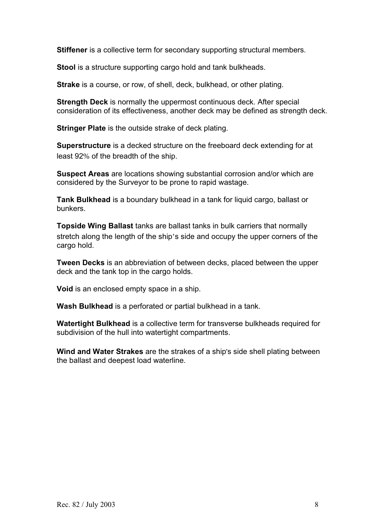**Stiffener** is a collective term for secondary supporting structural members.

**Stool** is a structure supporting cargo hold and tank bulkheads.

**Strake** is a course, or row, of shell, deck, bulkhead, or other plating.

**Strength Deck** is normally the uppermost continuous deck. After special consideration of its effectiveness, another deck may be defined as strength deck.

**Stringer Plate** is the outside strake of deck plating.

**Superstructure** is a decked structure on the freeboard deck extending for at least 92% of the breadth of the ship.

**Suspect Areas** are locations showing substantial corrosion and/or which are considered by the Surveyor to be prone to rapid wastage.

**Tank Bulkhead** is a boundary bulkhead in a tank for liquid cargo, ballast or bunkers.

**Topside Wing Ballast** tanks are ballast tanks in bulk carriers that normally stretch along the length of the ship's side and occupy the upper corners of the cargo hold.

**Tween Decks** is an abbreviation of between decks, placed between the upper deck and the tank top in the cargo holds.

**Void** is an enclosed empty space in a ship.

**Wash Bulkhead** is a perforated or partial bulkhead in a tank.

**Watertight Bulkhead** is a collective term for transverse bulkheads required for subdivision of the hull into watertight compartments.

**Wind and Water Strakes** are the strakes of a ship's side shell plating between the ballast and deepest load waterline.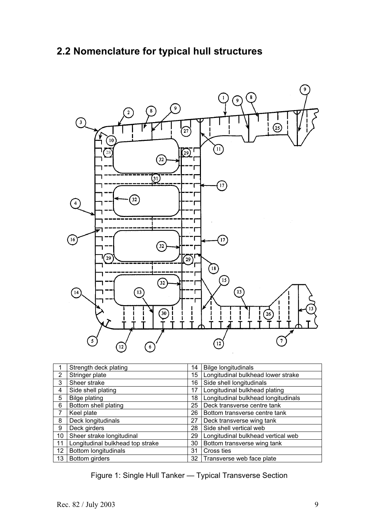#### **2.2 Nomenclature for typical hull structures**



|                | Strength deck plating            | 14 | <b>Bilge longitudinals</b>          |
|----------------|----------------------------------|----|-------------------------------------|
| $\overline{2}$ | Stringer plate                   | 15 | Longitudinal bulkhead lower strake  |
| 3              | Sheer strake                     | 16 | Side shell longitudinals            |
| 4              | Side shell plating               | 17 | Longitudinal bulkhead plating       |
| 5              | <b>Bilge plating</b>             | 18 | Longitudinal bulkhead longitudinals |
| 6              | Bottom shell plating             | 25 | Deck transverse centre tank         |
|                | Keel plate                       | 26 | Bottom transverse centre tank       |
| 8              | Deck longitudinals               | 27 | Deck transverse wing tank           |
| 9              | Deck girders                     | 28 | Side shell vertical web             |
| 10             | Sheer strake longitudinal        | 29 | Longitudinal bulkhead vertical web  |
| 11             | Longitudinal bulkhead top strake | 30 | Bottom transverse wing tank         |
| 12             | <b>Bottom longitudinals</b>      | 31 | Cross ties                          |
| 13             | Bottom girders                   |    | 32 Transverse web face plate        |

Figure 1: Single Hull Tanker — Typical Transverse Section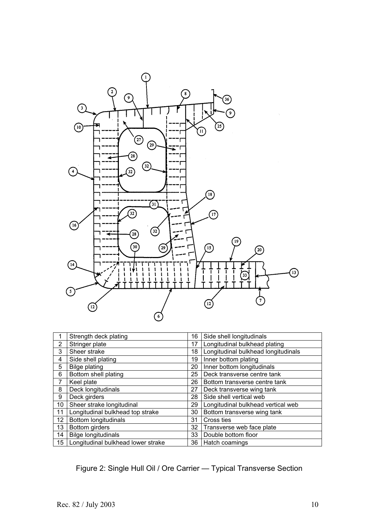

|                | Strength deck plating              | 16              | Side shell longitudinals            |
|----------------|------------------------------------|-----------------|-------------------------------------|
| $\overline{2}$ | Stringer plate                     | 17              | Longitudinal bulkhead plating       |
| 3              | Sheer strake                       | 18              | Longitudinal bulkhead longitudinals |
| 4              | Side shell plating                 | 19              | Inner bottom plating                |
| 5              | <b>Bilge plating</b>               | 20              | Inner bottom longitudinals          |
| 6              | Bottom shell plating               | 25              | Deck transverse centre tank         |
| 7              | Keel plate                         | 26              | Bottom transverse centre tank       |
| 8              | Deck longitudinals                 | 27              | Deck transverse wing tank           |
| 9              | Deck girders                       | 28              | Side shell vertical web             |
| 10             | Sheer strake longitudinal          | 29              | Longitudinal bulkhead vertical web  |
| 11             | Longitudinal bulkhead top strake   | 30              | Bottom transverse wing tank         |
| 12             | <b>Bottom longitudinals</b>        | 31              | Cross ties                          |
| 13             | Bottom girders                     | 32              | Transverse web face plate           |
| 14             | <b>Bilge longitudinals</b>         | 33              | Double bottom floor                 |
| 15             | Longitudinal bulkhead lower strake | 36 <sup>1</sup> | Hatch coamings                      |

Figure 2: Single Hull Oil / Ore Carrier — Typical Transverse Section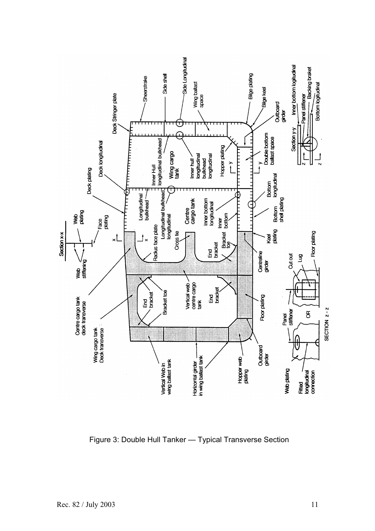

Figure 3: Double Hull Tanker — Typical Transverse Section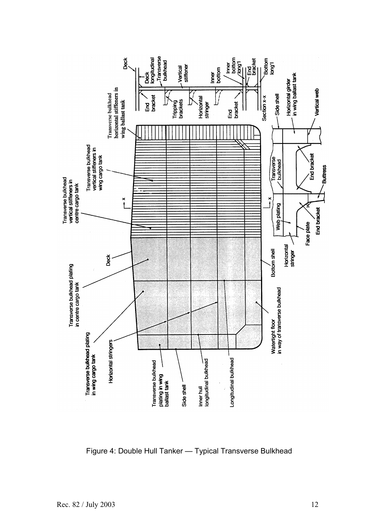

Figure 4: Double Hull Tanker — Typical Transverse Bulkhead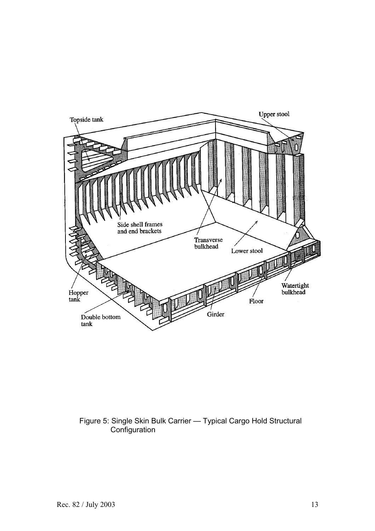

#### Figure 5: Single Skin Bulk Carrier — Typical Cargo Hold Structural Configuration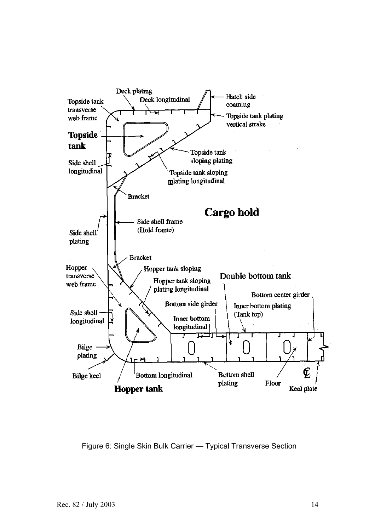

Figure 6: Single Skin Bulk Carrier — Typical Transverse Section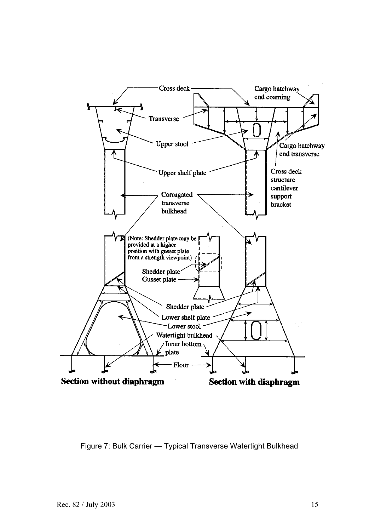

Figure 7: Bulk Carrier — Typical Transverse Watertight Bulkhead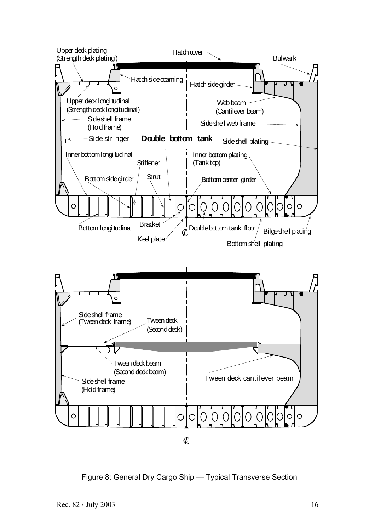

Figure 8: General Dry Cargo Ship — Typical Transverse Section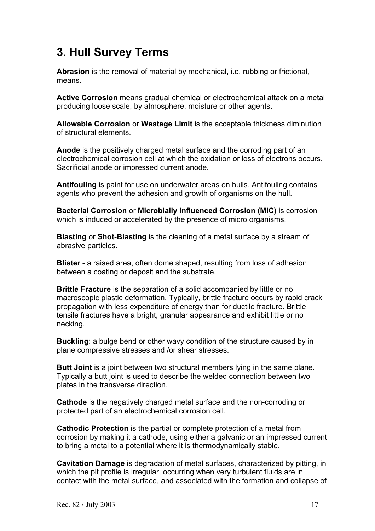## **3. Hull Survey Terms**

**Abrasion** is the removal of material by mechanical, i.e. rubbing or frictional, means.

**Active Corrosion** means gradual chemical or electrochemical attack on a metal producing loose scale, by atmosphere, moisture or other agents.

**Allowable Corrosion** or **Wastage Limit** is the acceptable thickness diminution of structural elements.

**Anode** is the positively charged metal surface and the corroding part of an electrochemical corrosion cell at which the oxidation or loss of electrons occurs. Sacrificial anode or impressed current anode.

**Antifouling** is paint for use on underwater areas on hulls. Antifouling contains agents who prevent the adhesion and growth of organisms on the hull.

**Bacterial Corrosion** or **Microbially Influenced Corrosion (MIC)** is corrosion which is induced or accelerated by the presence of micro organisms.

**Blasting** or **Shot-Blasting** is the cleaning of a metal surface by a stream of abrasive particles.

**Blister** - a raised area, often dome shaped, resulting from loss of adhesion between a coating or deposit and the substrate.

**Brittle Fracture** is the separation of a solid accompanied by little or no macroscopic plastic deformation. Typically, brittle fracture occurs by rapid crack propagation with less expenditure of energy than for ductile fracture. Brittle tensile fractures have a bright, granular appearance and exhibit little or no necking.

**Buckling**: a bulge bend or other wavy condition of the structure caused by in plane compressive stresses and /or shear stresses.

**Butt Joint** is a joint between two structural members lying in the same plane. Typically a butt joint is used to describe the welded connection between two plates in the transverse direction.

**Cathode** is the negatively charged metal surface and the non-corroding or protected part of an electrochemical corrosion cell.

**Cathodic Protection** is the partial or complete protection of a metal from corrosion by making it a cathode, using either a galvanic or an impressed current to bring a metal to a potential where it is thermodynamically stable.

**Cavitation Damage** is degradation of metal surfaces, characterized by pitting, in which the pit profile is irregular, occurring when very turbulent fluids are in contact with the metal surface, and associated with the formation and collapse of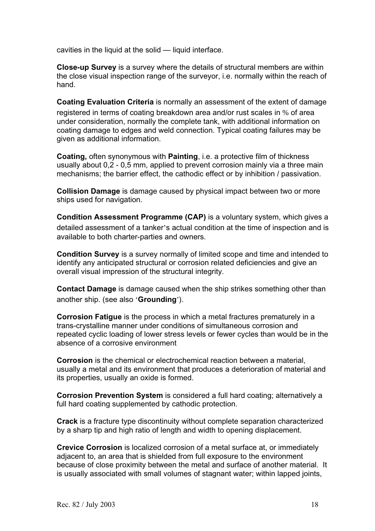cavities in the liquid at the solid — liquid interface.

**Close-up Survey** is a survey where the details of structural members are within the close visual inspection range of the surveyor, i.e. normally within the reach of hand.

**Coating Evaluation Criteria** is normally an assessment of the extent of damage registered in terms of coating breakdown area and/or rust scales in % of area under consideration, normally the complete tank, with additional information on coating damage to edges and weld connection. Typical coating failures may be given as additional information.

**Coating,** often synonymous with **Painting**, i.e. a protective film of thickness usually about 0,2 - 0,5 mm, applied to prevent corrosion mainly via a three main mechanisms; the barrier effect, the cathodic effect or by inhibition / passivation.

**Collision Damage** is damage caused by physical impact between two or more ships used for navigation.

**Condition Assessment Programme (CAP)** is a voluntary system, which gives a detailed assessment of a tanker's actual condition at the time of inspection and is available to both charter-parties and owners.

**Condition Survey** is a survey normally of limited scope and time and intended to identify any anticipated structural or corrosion related deficiencies and give an overall visual impression of the structural integrity.

**Contact Damage** is damage caused when the ship strikes something other than another ship. (see also '**Grounding**').

**Corrosion Fatigue** is the process in which a metal fractures prematurely in a trans-crystalline manner under conditions of simultaneous corrosion and repeated cyclic loading of lower stress levels or fewer cycles than would be in the absence of a corrosive environment

**Corrosion** is the chemical or electrochemical reaction between a material, usually a metal and its environment that produces a deterioration of material and its properties, usually an oxide is formed.

**Corrosion Prevention System** is considered a full hard coating; alternatively a full hard coating supplemented by cathodic protection.

**Crack** is a fracture type discontinuity without complete separation characterized by a sharp tip and high ratio of length and width to opening displacement.

**Crevice Corrosion** is localized corrosion of a metal surface at, or immediately adjacent to, an area that is shielded from full exposure to the environment because of close proximity between the metal and surface of another material. It is usually associated with small volumes of stagnant water; within lapped joints,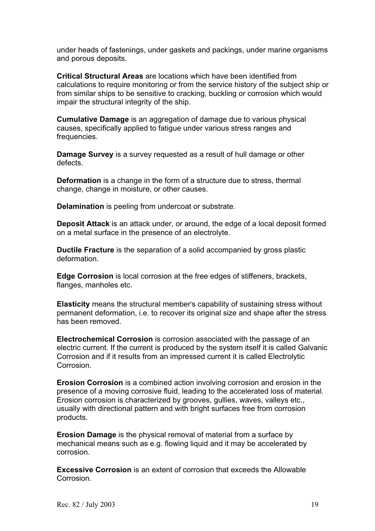under heads of fastenings, under gaskets and packings, under marine organisms and porous deposits.

**Critical Structural Areas** are locations which have been identified from calculations to require monitoring or from the service history of the subject ship or from similar ships to be sensitive to cracking, buckling or corrosion which would impair the structural integrity of the ship.

**Cumulative Damage** is an aggregation of damage due to various physical causes, specifically applied to fatigue under various stress ranges and frequencies.

**Damage Survey** is a survey requested as a result of hull damage or other defects.

**Deformation** is a change in the form of a structure due to stress, thermal change, change in moisture, or other causes.

**Delamination** is peeling from undercoat or substrate.

**Deposit Attack** is an attack under, or around, the edge of a local deposit formed on a metal surface in the presence of an electrolyte.

**Ductile Fracture** is the separation of a solid accompanied by gross plastic deformation.

**Edge Corrosion** is local corrosion at the free edges of stiffeners, brackets, flanges, manholes etc.

**Elasticity** means the structural member's capability of sustaining stress without permanent deformation, i.e. to recover its original size and shape after the stress has been removed.

**Electrochemical Corrosion** is corrosion associated with the passage of an electric current. If the current is produced by the system itself it is called Galvanic Corrosion and if it results from an impressed current it is called Electrolytic Corrosion.

**Erosion Corrosion** is a combined action involving corrosion and erosion in the presence of a moving corrosive fluid, leading to the accelerated loss of material. Erosion corrosion is characterized by grooves, gullies, waves, valleys etc., usually with directional pattern and with bright surfaces free from corrosion products.

**Erosion Damage** is the physical removal of material from a surface by mechanical means such as e.g. flowing liquid and it may be accelerated by corrosion.

**Excessive Corrosion** is an extent of corrosion that exceeds the Allowable Corrosion.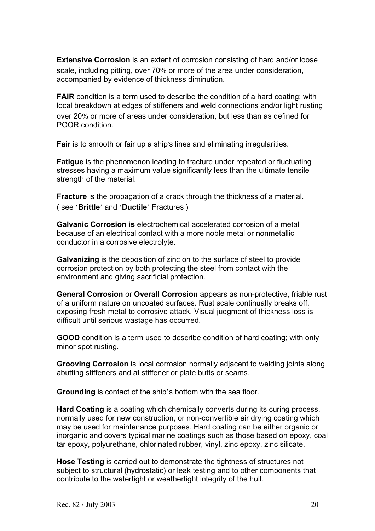**Extensive Corrosion** is an extent of corrosion consisting of hard and/or loose scale, including pitting, over 70% or more of the area under consideration, accompanied by evidence of thickness diminution.

**FAIR** condition is a term used to describe the condition of a hard coating; with local breakdown at edges of stiffeners and weld connections and/or light rusting over 20% or more of areas under consideration, but less than as defined for POOR condition.

**Fair** is to smooth or fair up a ship's lines and eliminating irregularities.

**Fatigue** is the phenomenon leading to fracture under repeated or fluctuating stresses having a maximum value significantly less than the ultimate tensile strength of the material.

**Fracture** is the propagation of a crack through the thickness of a material. ( see '**Brittle**' and '**Ductile**' Fractures )

**Galvanic Corrosion is** electrochemical accelerated corrosion of a metal because of an electrical contact with a more noble metal or nonmetallic conductor in a corrosive electrolyte.

**Galvanizing** is the deposition of zinc on to the surface of steel to provide corrosion protection by both protecting the steel from contact with the environment and giving sacrificial protection.

**General Corrosion** or **Overall Corrosion** appears as non-protective, friable rust of a uniform nature on uncoated surfaces. Rust scale continually breaks off, exposing fresh metal to corrosive attack. Visual judgment of thickness loss is difficult until serious wastage has occurred.

**GOOD** condition is a term used to describe condition of hard coating; with only minor spot rusting.

**Grooving Corrosion** is local corrosion normally adjacent to welding joints along abutting stiffeners and at stiffener or plate butts or seams.

**Grounding** is contact of the ship's bottom with the sea floor.

**Hard Coating** is a coating which chemically converts during its curing process, normally used for new construction, or non-convertible air drying coating which may be used for maintenance purposes. Hard coating can be either organic or inorganic and covers typical marine coatings such as those based on epoxy, coal tar epoxy, polyurethane, chlorinated rubber, vinyl, zinc epoxy, zinc silicate.

**Hose Testing** is carried out to demonstrate the tightness of structures not subject to structural (hydrostatic) or leak testing and to other components that contribute to the watertight or weathertight integrity of the hull.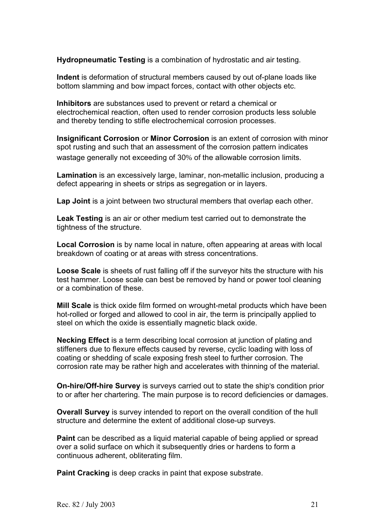**Hydropneumatic Testing** is a combination of hydrostatic and air testing.

**Indent** is deformation of structural members caused by out of-plane loads like bottom slamming and bow impact forces, contact with other objects etc.

**Inhibitors** are substances used to prevent or retard a chemical or electrochemical reaction, often used to render corrosion products less soluble and thereby tending to stifle electrochemical corrosion processes.

**Insignificant Corrosion** or **Minor Corrosion** is an extent of corrosion with minor spot rusting and such that an assessment of the corrosion pattern indicates wastage generally not exceeding of 30% of the allowable corrosion limits.

**Lamination** is an excessively large, laminar, non-metallic inclusion, producing a defect appearing in sheets or strips as segregation or in layers.

**Lap Joint** is a joint between two structural members that overlap each other.

**Leak Testing** is an air or other medium test carried out to demonstrate the tightness of the structure.

**Local Corrosion** is by name local in nature, often appearing at areas with local breakdown of coating or at areas with stress concentrations.

**Loose Scale** is sheets of rust falling off if the surveyor hits the structure with his test hammer. Loose scale can best be removed by hand or power tool cleaning or a combination of these.

**Mill Scale** is thick oxide film formed on wrought-metal products which have been hot-rolled or forged and allowed to cool in air, the term is principally applied to steel on which the oxide is essentially magnetic black oxide.

**Necking Effect** is a term describing local corrosion at junction of plating and stiffeners due to flexure effects caused by reverse, cyclic loading with loss of coating or shedding of scale exposing fresh steel to further corrosion. The corrosion rate may be rather high and accelerates with thinning of the material.

**On-hire/Off-hire Survey** is surveys carried out to state the ship's condition prior to or after her chartering. The main purpose is to record deficiencies or damages.

**Overall Survey** is survey intended to report on the overall condition of the hull structure and determine the extent of additional close-up surveys.

**Paint** can be described as a liquid material capable of being applied or spread over a solid surface on which it subsequently dries or hardens to form a continuous adherent, obliterating film.

**Paint Cracking** is deep cracks in paint that expose substrate.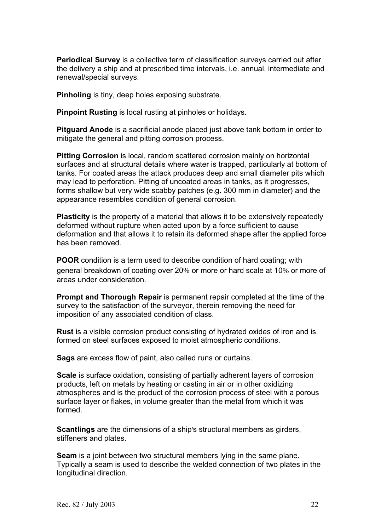**Periodical Survey** is a collective term of classification surveys carried out after the delivery a ship and at prescribed time intervals, i.e. annual, intermediate and renewal/special surveys.

**Pinholing** is tiny, deep holes exposing substrate.

**Pinpoint Rusting** is local rusting at pinholes or holidays.

**Pitguard Anode** is a sacrificial anode placed just above tank bottom in order to mitigate the general and pitting corrosion process.

**Pitting Corrosion** is local, random scattered corrosion mainly on horizontal surfaces and at structural details where water is trapped, particularly at bottom of tanks. For coated areas the attack produces deep and small diameter pits which may lead to perforation. Pitting of uncoated areas in tanks, as it progresses, forms shallow but very wide scabby patches (e.g. 300 mm in diameter) and the appearance resembles condition of general corrosion.

**Plasticity** is the property of a material that allows it to be extensively repeatedly deformed without rupture when acted upon by a force sufficient to cause deformation and that allows it to retain its deformed shape after the applied force has been removed.

**POOR** condition is a term used to describe condition of hard coating; with general breakdown of coating over 20% or more or hard scale at 10% or more of areas under consideration.

**Prompt and Thorough Repair** is permanent repair completed at the time of the survey to the satisfaction of the surveyor, therein removing the need for imposition of any associated condition of class.

**Rust** is a visible corrosion product consisting of hydrated oxides of iron and is formed on steel surfaces exposed to moist atmospheric conditions.

**Sags** are excess flow of paint, also called runs or curtains.

**Scale** is surface oxidation, consisting of partially adherent layers of corrosion products, left on metals by heating or casting in air or in other oxidizing atmospheres and is the product of the corrosion process of steel with a porous surface layer or flakes, in volume greater than the metal from which it was formed.

**Scantlings** are the dimensions of a ship's structural members as girders, stiffeners and plates.

**Seam** is a joint between two structural members lying in the same plane. Typically a seam is used to describe the welded connection of two plates in the longitudinal direction.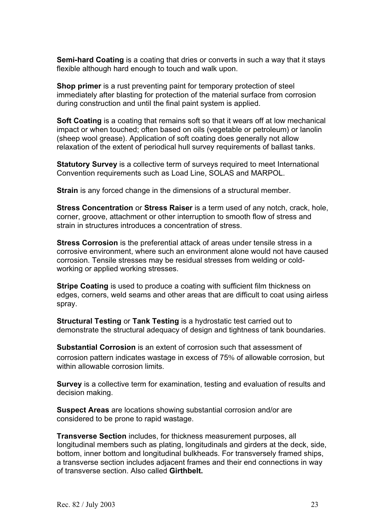**Semi-hard Coating** is a coating that dries or converts in such a way that it stays flexible although hard enough to touch and walk upon.

**Shop primer** is a rust preventing paint for temporary protection of steel immediately after blasting for protection of the material surface from corrosion during construction and until the final paint system is applied.

**Soft Coating** is a coating that remains soft so that it wears off at low mechanical impact or when touched; often based on oils (vegetable or petroleum) or lanolin (sheep wool grease). Application of soft coating does generally not allow relaxation of the extent of periodical hull survey requirements of ballast tanks.

**Statutory Survey** is a collective term of surveys required to meet International Convention requirements such as Load Line, SOLAS and MARPOL.

**Strain** is any forced change in the dimensions of a structural member.

**Stress Concentration** or **Stress Raiser** is a term used of any notch, crack, hole, corner, groove, attachment or other interruption to smooth flow of stress and strain in structures introduces a concentration of stress.

**Stress Corrosion** is the preferential attack of areas under tensile stress in a corrosive environment, where such an environment alone would not have caused corrosion. Tensile stresses may be residual stresses from welding or coldworking or applied working stresses.

**Stripe Coating** is used to produce a coating with sufficient film thickness on edges, corners, weld seams and other areas that are difficult to coat using airless spray.

**Structural Testing** or **Tank Testing** is a hydrostatic test carried out to demonstrate the structural adequacy of design and tightness of tank boundaries.

**Substantial Corrosion** is an extent of corrosion such that assessment of corrosion pattern indicates wastage in excess of 75% of allowable corrosion, but within allowable corrosion limits.

**Survey** is a collective term for examination, testing and evaluation of results and decision making.

**Suspect Areas** are locations showing substantial corrosion and/or are considered to be prone to rapid wastage.

**Transverse Section** includes, for thickness measurement purposes, all longitudinal members such as plating, longitudinals and girders at the deck, side, bottom, inner bottom and longitudinal bulkheads. For transversely framed ships, a transverse section includes adjacent frames and their end connections in way of transverse section. Also called **Girthbelt.**